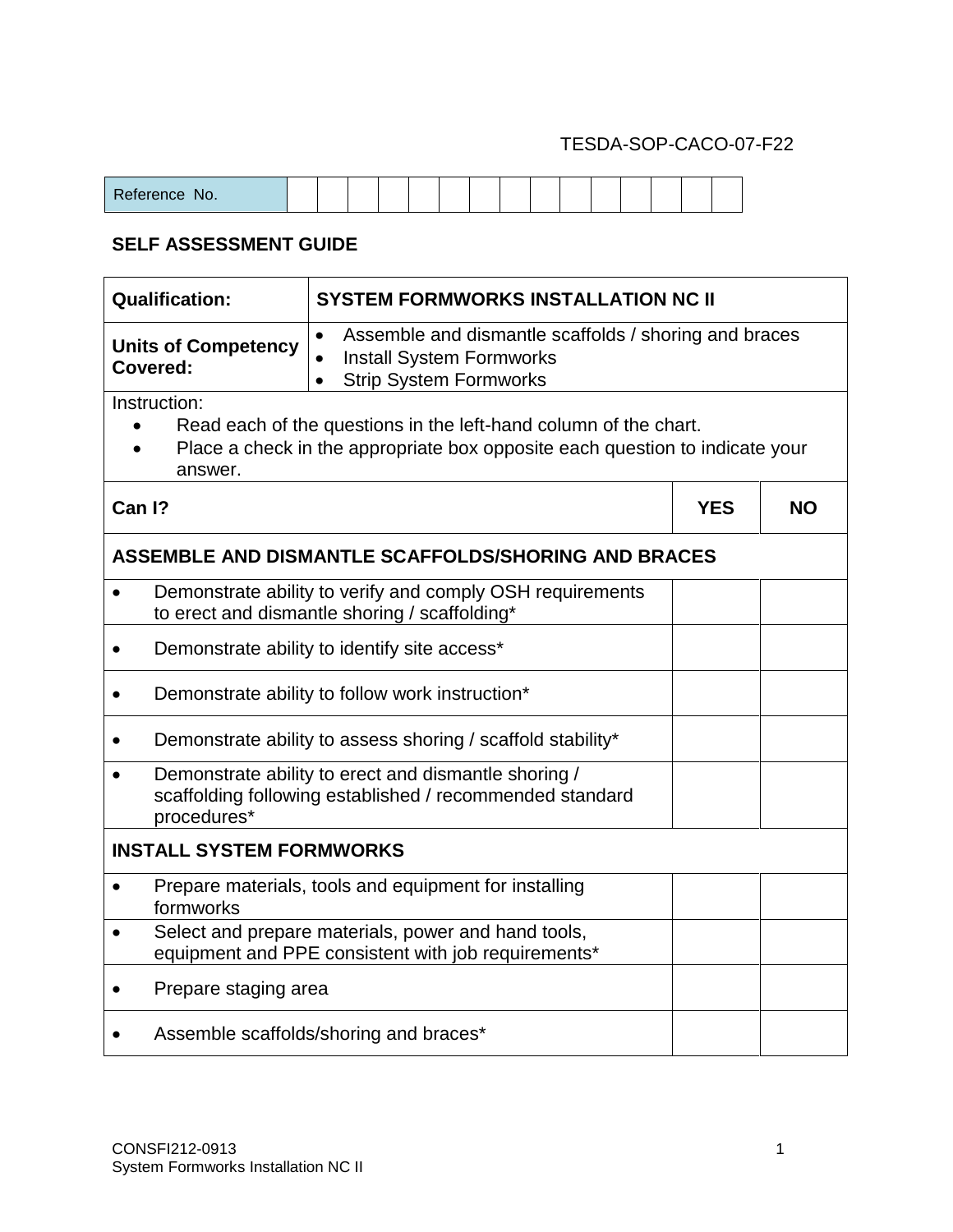## TESDA-SOP-CACO-07-F22

| D <sub>0</sub><br>$\sim$ $\sim$<br>No.<br>-<br>$\sim$ |  |  |  |  |  |  |  |  |  |  |  |  |  |  |  |
|-------------------------------------------------------|--|--|--|--|--|--|--|--|--|--|--|--|--|--|--|
|-------------------------------------------------------|--|--|--|--|--|--|--|--|--|--|--|--|--|--|--|

## **SELF ASSESSMENT GUIDE**

| <b>Qualification:</b>                                                                                                                                                       | <b>SYSTEM FORMWORKS INSTALLATION NC II</b>                                                                                                          |           |  |  |  |  |  |  |  |
|-----------------------------------------------------------------------------------------------------------------------------------------------------------------------------|-----------------------------------------------------------------------------------------------------------------------------------------------------|-----------|--|--|--|--|--|--|--|
| <b>Units of Competency</b><br>Covered:                                                                                                                                      | Assemble and dismantle scaffolds / shoring and braces<br>$\bullet$<br><b>Install System Formworks</b><br>$\bullet$<br><b>Strip System Formworks</b> |           |  |  |  |  |  |  |  |
| Instruction:<br>Read each of the questions in the left-hand column of the chart.<br>Place a check in the appropriate box opposite each question to indicate your<br>answer. |                                                                                                                                                     |           |  |  |  |  |  |  |  |
| Can I?                                                                                                                                                                      | <b>YES</b>                                                                                                                                          | <b>NO</b> |  |  |  |  |  |  |  |
| ASSEMBLE AND DISMANTLE SCAFFOLDS/SHORING AND BRACES                                                                                                                         |                                                                                                                                                     |           |  |  |  |  |  |  |  |
| $\bullet$                                                                                                                                                                   | Demonstrate ability to verify and comply OSH requirements<br>to erect and dismantle shoring / scaffolding*                                          |           |  |  |  |  |  |  |  |
|                                                                                                                                                                             | Demonstrate ability to identify site access*                                                                                                        |           |  |  |  |  |  |  |  |
| Demonstrate ability to follow work instruction*                                                                                                                             |                                                                                                                                                     |           |  |  |  |  |  |  |  |
| $\bullet$                                                                                                                                                                   | Demonstrate ability to assess shoring / scaffold stability*                                                                                         |           |  |  |  |  |  |  |  |
| $\bullet$<br>procedures*                                                                                                                                                    | Demonstrate ability to erect and dismantle shoring /<br>scaffolding following established / recommended standard                                    |           |  |  |  |  |  |  |  |
| <b>INSTALL SYSTEM FORMWORKS</b>                                                                                                                                             |                                                                                                                                                     |           |  |  |  |  |  |  |  |
| $\bullet$<br>formworks                                                                                                                                                      | Prepare materials, tools and equipment for installing                                                                                               |           |  |  |  |  |  |  |  |
|                                                                                                                                                                             | Select and prepare materials, power and hand tools,<br>equipment and PPE consistent with job requirements*                                          |           |  |  |  |  |  |  |  |
| Prepare staging area<br>$\bullet$                                                                                                                                           |                                                                                                                                                     |           |  |  |  |  |  |  |  |
|                                                                                                                                                                             | Assemble scaffolds/shoring and braces*                                                                                                              |           |  |  |  |  |  |  |  |